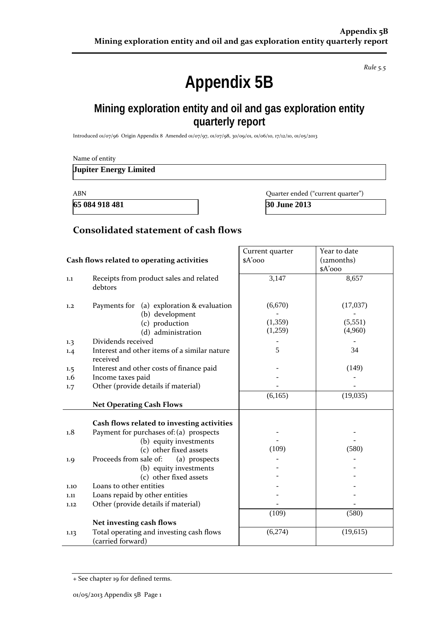*Rule 5.5*

# **Appendix 5B**

### **Mining exploration entity and oil and gas exploration entity quarterly report**

Introduced 01/07/96 Origin Appendix 8 Amended 01/07/97, 01/07/98, 30/09/01, 01/06/10, 17/12/10, 01/05/2013

| Name of entity                |  |  |
|-------------------------------|--|--|
| <b>Jupiter Energy Limited</b> |  |  |

**65 084 918 481 30 June 2013**

ABN Quarter ended ("current quarter")

### **Consolidated statement of cash flows**

|                                            |                                                               | Current quarter | Year to date |
|--------------------------------------------|---------------------------------------------------------------|-----------------|--------------|
| Cash flows related to operating activities |                                                               | \$A'ooo         | (12months)   |
|                                            |                                                               |                 | \$A'ooo      |
| 1.1                                        | Receipts from product sales and related                       | 3,147           | 8,657        |
|                                            | debtors                                                       |                 |              |
|                                            |                                                               |                 |              |
| 1,2                                        | (a) exploration & evaluation<br>Payments for                  | (6,670)         | (17,037)     |
|                                            | (b) development                                               |                 |              |
|                                            | (c) production                                                | (1, 359)        | (5,551)      |
|                                            | (d) administration                                            | (1,259)         | (4,960)      |
| 1.3                                        | Dividends received                                            |                 |              |
| 1.4                                        | Interest and other items of a similar nature                  | 5               | 34           |
|                                            | received                                                      |                 |              |
| 1.5                                        | Interest and other costs of finance paid                      |                 | (149)        |
| 1.6                                        | Income taxes paid                                             |                 |              |
| 1.7                                        | Other (provide details if material)                           |                 |              |
|                                            |                                                               | (6,165)         | (19,035)     |
|                                            | <b>Net Operating Cash Flows</b>                               |                 |              |
|                                            |                                                               |                 |              |
|                                            | Cash flows related to investing activities                    |                 |              |
| 1.8                                        | Payment for purchases of: (a) prospects                       |                 |              |
|                                            | (b) equity investments                                        |                 |              |
|                                            | (c) other fixed assets                                        | (109)           | (580)        |
| 1.9                                        | Proceeds from sale of:<br>(a) prospects                       |                 |              |
|                                            | (b) equity investments                                        |                 |              |
|                                            | (c) other fixed assets                                        |                 |              |
| 1.10                                       | Loans to other entities                                       |                 |              |
| 1.11                                       | Loans repaid by other entities                                |                 |              |
| 1.12                                       | Other (provide details if material)                           |                 |              |
|                                            |                                                               | (109)           | (580)        |
|                                            | Net investing cash flows                                      |                 |              |
| 1.13                                       | Total operating and investing cash flows<br>(carried forward) | (6,274)         | (19,615)     |

<sup>+</sup> See chapter 19 for defined terms.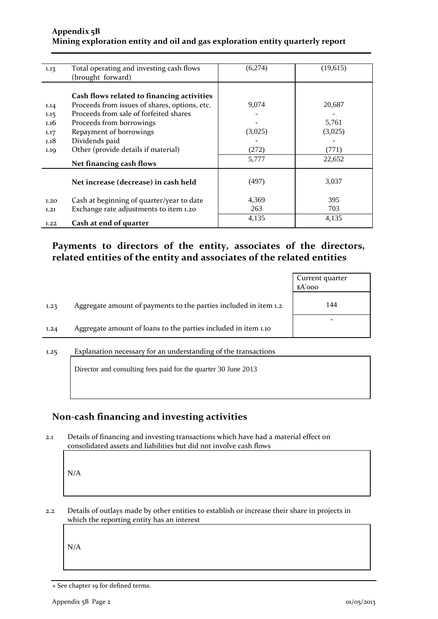#### **Appendix 5B Mining exploration entity and oil and gas exploration entity quarterly report**

| 1.13 | Total operating and investing cash flows      | (6,274) | (19,615) |
|------|-----------------------------------------------|---------|----------|
|      | (brought forward)                             |         |          |
|      |                                               |         |          |
|      |                                               |         |          |
|      | Cash flows related to financing activities    |         |          |
| 1.14 | Proceeds from issues of shares, options, etc. | 9,074   | 20,687   |
| 1.15 | Proceeds from sale of forfeited shares        |         |          |
| 1.16 | Proceeds from borrowings                      |         | 5,761    |
| 1.17 | Repayment of borrowings                       | (3,025) | (3,025)  |
| 1.18 | Dividends paid                                |         |          |
| 1.19 | Other (provide details if material)           | (272)   | (771)    |
|      |                                               | 5,777   | 22,652   |
|      | Net financing cash flows                      |         |          |
|      |                                               |         |          |
|      | Net increase (decrease) in cash held          | (497)   | 3,037    |
|      |                                               |         |          |
| 1.20 | Cash at beginning of quarter/year to date     | 4,369   | 395      |
|      |                                               |         |          |
| 1.21 | Exchange rate adjustments to item 1.20        | 263     | 703      |
|      |                                               | 4,135   | 4,135    |
| 1.22 | Cash at end of quarter                        |         |          |

### **Payments to directors of the entity, associates of the directors, related entities of the entity and associates of the related entities**

|      |                                                                  | Current quarter<br>$A'$ ooo |
|------|------------------------------------------------------------------|-----------------------------|
| 1.23 | Aggregate amount of payments to the parties included in item 1.2 | 144                         |
| 1.24 | Aggregate amount of loans to the parties included in item 1.10   |                             |
| 1.25 | Explanation necessary for an understanding of the transactions   |                             |

Director and consulting fees paid for the quarter 30 June 2013

### **Non-cash financing and investing activities**

2.1 Details of financing and investing transactions which have had a material effect on consolidated assets and liabilities but did not involve cash flows

N/A

2.2 Details of outlays made by other entities to establish or increase their share in projects in which the reporting entity has an interest

N/A

<sup>+</sup> See chapter 19 for defined terms.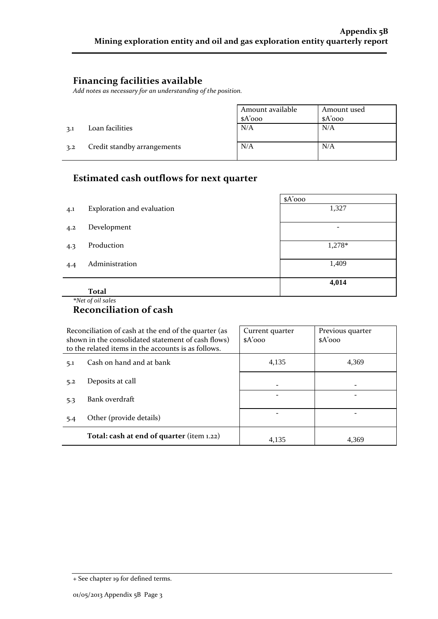### **Financing facilities available**

*Add notes as necessary for an understanding of the position.*

|     |                             | Amount available<br>\$A'ooo | Amount used<br>$A'$ 000 |
|-----|-----------------------------|-----------------------------|-------------------------|
| 3.1 | Loan facilities             | N/A                         | N/A                     |
| 3.2 | Credit standby arrangements | N/A                         | N/A                     |

# **Estimated cash outflows for next quarter**

|     |                            | $A'$ 000                 |
|-----|----------------------------|--------------------------|
| 4.1 | Exploration and evaluation | 1,327                    |
| 4.2 | Development                | $\overline{\phantom{0}}$ |
| 4.3 | Production                 | 1,278*                   |
| 4.4 | Administration             | 1,409                    |
|     | <b>Total</b>               | 4,014                    |

### *\*Net of oil sales* **Reconciliation of cash**

| Reconciliation of cash at the end of the quarter (as<br>shown in the consolidated statement of cash flows)<br>to the related items in the accounts is as follows. |                                           | Current quarter<br>$A'$ 000 | Previous quarter<br>$A'$ 000 |
|-------------------------------------------------------------------------------------------------------------------------------------------------------------------|-------------------------------------------|-----------------------------|------------------------------|
| 5.1                                                                                                                                                               | Cash on hand and at bank                  | 4,135                       | 4.369                        |
| 5.2                                                                                                                                                               | Deposits at call                          |                             |                              |
| 5.3                                                                                                                                                               | Bank overdraft                            |                             |                              |
| 5.4                                                                                                                                                               | Other (provide details)                   |                             |                              |
|                                                                                                                                                                   | Total: cash at end of quarter (item 1.22) | 4.135                       | 4.369                        |

<sup>+</sup> See chapter 19 for defined terms.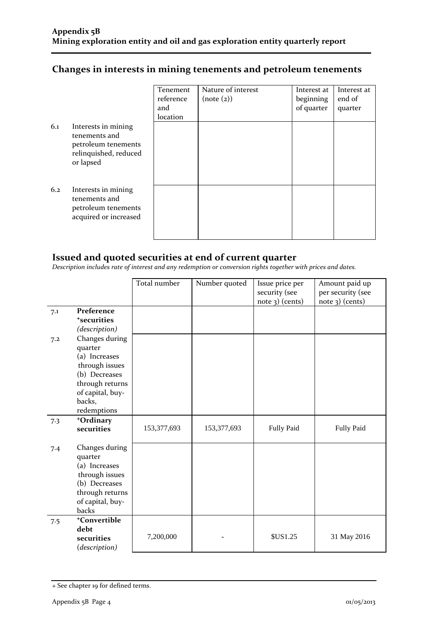### **Changes in interests in mining tenements and petroleum tenements**

|     |                                                                                                   | Tenement<br>reference<br>and<br>location | Nature of interest<br>(note (2)) | Interest at<br>beginning<br>of quarter | Interest at<br>end of<br>quarter |
|-----|---------------------------------------------------------------------------------------------------|------------------------------------------|----------------------------------|----------------------------------------|----------------------------------|
| 6.1 | Interests in mining<br>tenements and<br>petroleum tenements<br>relinquished, reduced<br>or lapsed |                                          |                                  |                                        |                                  |
| 6.2 | Interests in mining<br>tenements and<br>petroleum tenements<br>acquired or increased              |                                          |                                  |                                        |                                  |

### **Issued and quoted securities at end of current quarter**

*Description includes rate of interest and any redemption or conversion rights together with prices and dates.*

|                            | Issue price per<br>security (see | Amount paid up<br>per security (see                     |
|----------------------------|----------------------------------|---------------------------------------------------------|
|                            |                                  | $note$ 3) (cents)                                       |
|                            |                                  |                                                         |
|                            |                                  |                                                         |
|                            |                                  |                                                         |
|                            |                                  |                                                         |
|                            |                                  |                                                         |
|                            |                                  |                                                         |
|                            |                                  |                                                         |
|                            |                                  |                                                         |
|                            |                                  |                                                         |
|                            |                                  |                                                         |
|                            |                                  |                                                         |
|                            |                                  |                                                         |
|                            |                                  |                                                         |
| 153,377,693<br>153,377,693 |                                  | <b>Fully Paid</b>                                       |
|                            |                                  |                                                         |
|                            |                                  |                                                         |
|                            |                                  |                                                         |
|                            |                                  |                                                         |
|                            |                                  |                                                         |
|                            |                                  |                                                         |
|                            |                                  |                                                         |
|                            |                                  |                                                         |
|                            |                                  |                                                         |
|                            |                                  |                                                         |
|                            |                                  |                                                         |
|                            |                                  | 31 May 2016                                             |
|                            |                                  |                                                         |
|                            | Total number<br>Number quoted    | note 3) (cents)<br><b>Fully Paid</b><br><b>\$US1.25</b> |

<sup>+</sup> See chapter 19 for defined terms.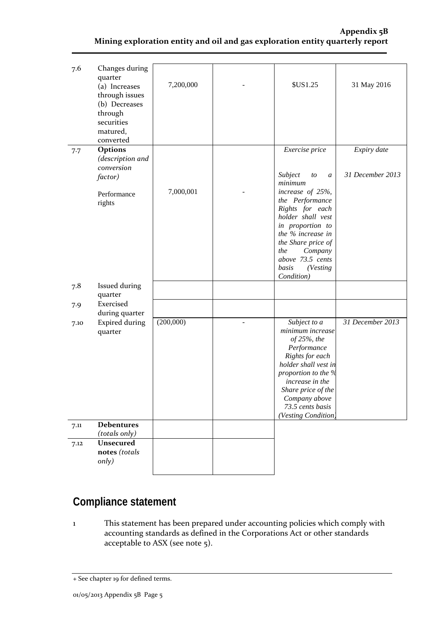#### **Appendix 5B Mining exploration entity and oil and gas exploration entity quarterly report**

| 7.6  | Changes during<br>quarter<br>(a) Increases<br>through issues<br>(b) Decreases<br>through<br>securities<br>matured,<br>converted | 7,200,000 | <b>\$US1.25</b>                                                                                                                                                                                                                      | 31 May 2016                     |
|------|---------------------------------------------------------------------------------------------------------------------------------|-----------|--------------------------------------------------------------------------------------------------------------------------------------------------------------------------------------------------------------------------------------|---------------------------------|
| 7.7  | Options<br>(description and<br>conversion<br>factor)                                                                            |           | Exercise price<br>Subject<br>to<br>$\boldsymbol{a}$<br>minimum                                                                                                                                                                       | Expiry date<br>31 December 2013 |
|      | Performance<br>rights                                                                                                           | 7,000,001 | increase of 25%,<br>the Performance<br>Rights for each<br>holder shall vest<br>in proportion to<br>the % increase in<br>the Share price of<br>the<br>Company<br>above 73.5 cents<br>basis<br>(Vesting<br>Condition)                  |                                 |
| 7.8  | Issued during<br>quarter                                                                                                        |           |                                                                                                                                                                                                                                      |                                 |
| 7.9  | Exercised<br>during quarter                                                                                                     |           |                                                                                                                                                                                                                                      |                                 |
| 7.10 | <b>Expired during</b><br>quarter                                                                                                | (200,000) | Subject to a<br>minimum increase<br>of 25%, the<br>Performance<br>Rights for each<br>holder shall vest in<br>proportion to the %<br>increase in the<br>Share price of the<br>Company above<br>73.5 cents basis<br>(Vesting Condition | 31 December 2013                |
| 7.11 | <b>Debentures</b><br>(totals only)                                                                                              |           |                                                                                                                                                                                                                                      |                                 |
| 7.12 | <b>Unsecured</b><br>notes (totals<br>only)                                                                                      |           |                                                                                                                                                                                                                                      |                                 |

## **Compliance statement**

1 This statement has been prepared under accounting policies which comply with accounting standards as defined in the Corporations Act or other standards acceptable to ASX (see note 5).

<sup>+</sup> See chapter 19 for defined terms.